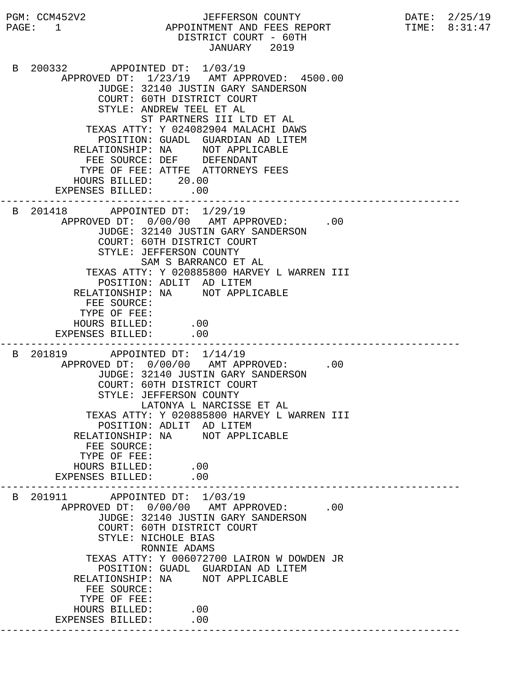PGM: CCM452V2 JEFFERSON COUNTY DATE: 2/25/19 PAGE: 1 APPOINTMENT AND FEES REPORT TIME: 8:31:47 DISTRICT COURT - 60TH JANUARY 2019 B 200332 APPOINTED DT: 1/03/19 APPROVED DT: 1/23/19 AMT APPROVED: 4500.00 JUDGE: 32140 JUSTIN GARY SANDERSON COURT: 60TH DISTRICT COURT STYLE: ANDREW TEEL ET AL ST PARTNERS III LTD ET AL TEXAS ATTY: Y 024082904 MALACHI DAWS POSITION: GUADL GUARDIAN AD LITEM RELATIONSHIP: NA NOT APPLICABLE FEE SOURCE: DEF DEFENDANT TYPE OF FEE: ATTFE ATTORNEYS FEES HOURS BILLED: 20.00 EXPENSES BILLED: .00 --------------------------------------------------------------------------- B 201418 APPOINTED DT: 1/29/19 APPROVED DT:  $0/00/00$  AMT APPROVED: .00 JUDGE: 32140 JUSTIN GARY SANDERSON COURT: 60TH DISTRICT COURT STYLE: JEFFERSON COUNTY SAM S BARRANCO ET AL TEXAS ATTY: Y 020885800 HARVEY L WARREN III POSITION: ADLIT AD LITEM RELATIONSHIP: NA NOT APPLICABLE FEE SOURCE: TYPE OF FEE: HOURS BILLED: .00 EXPENSES BILLED: .00 --------------------------------------------------------------------------- B 201819 APPOINTED DT: 1/14/19 APPROVED DT:  $0/00/00$  AMT APPROVED: .00 JUDGE: 32140 JUSTIN GARY SANDERSON COURT: 60TH DISTRICT COURT STYLE: JEFFERSON COUNTY LATONYA L NARCISSE ET AL TEXAS ATTY: Y 020885800 HARVEY L WARREN III POSITION: ADLIT AD LITEM RELATIONSHIP: NA NOT APPLICABLE FEE SOURCE: TYPE OF FEE: HOURS BILLED: .00<br>PENSES BILLED: .00 EXPENSES BILLED: --------------------------------------------------------------------------- B 201911 APPOINTED DT: 1/03/19 APPROVED DT:  $0/00/00$  AMT APPROVED: .00 JUDGE: 32140 JUSTIN GARY SANDERSON COURT: 60TH DISTRICT COURT STYLE: NICHOLE BIAS RONNIE ADAMS TEXAS ATTY: Y 006072700 LAIRON W DOWDEN JR POSITION: GUADL GUARDIAN AD LITEM RELATIONSHIP: NA NOT APPLICABLE FEE SOURCE: TYPE OF FEE: HOURS BILLED: .00 EXPENSES BILLED: .00 ---------------------------------------------------------------------------